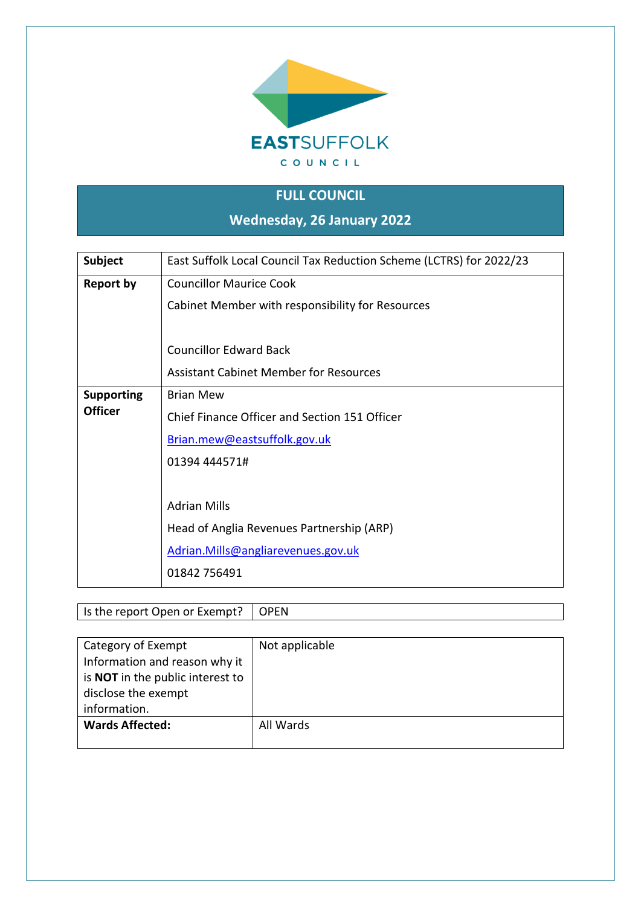

### **FULL COUNCIL**

**Wednesday, 26 January 2022**

| Subject           | East Suffolk Local Council Tax Reduction Scheme (LCTRS) for 2022/23 |
|-------------------|---------------------------------------------------------------------|
| <b>Report by</b>  | <b>Councillor Maurice Cook</b>                                      |
|                   | Cabinet Member with responsibility for Resources                    |
|                   |                                                                     |
|                   | <b>Councillor Edward Back</b>                                       |
|                   | <b>Assistant Cabinet Member for Resources</b>                       |
| <b>Supporting</b> | <b>Brian Mew</b>                                                    |
| <b>Officer</b>    | Chief Finance Officer and Section 151 Officer                       |
|                   | Brian.mew@eastsuffolk.gov.uk                                        |
|                   | 01394 444571#                                                       |
|                   |                                                                     |
|                   | <b>Adrian Mills</b>                                                 |
|                   | Head of Anglia Revenues Partnership (ARP)                           |
|                   | Adrian.Mills@angliarevenues.gov.uk                                  |
|                   | 01842 756491                                                        |

| Is the report Open or Exempt? $\vert$ OPEN |  |
|--------------------------------------------|--|
|--------------------------------------------|--|

| Category of Exempt                      | Not applicable |
|-----------------------------------------|----------------|
| Information and reason why it           |                |
| is <b>NOT</b> in the public interest to |                |
| disclose the exempt                     |                |
|                                         |                |
| information.                            |                |
| <b>Wards Affected:</b>                  | All Wards      |
|                                         |                |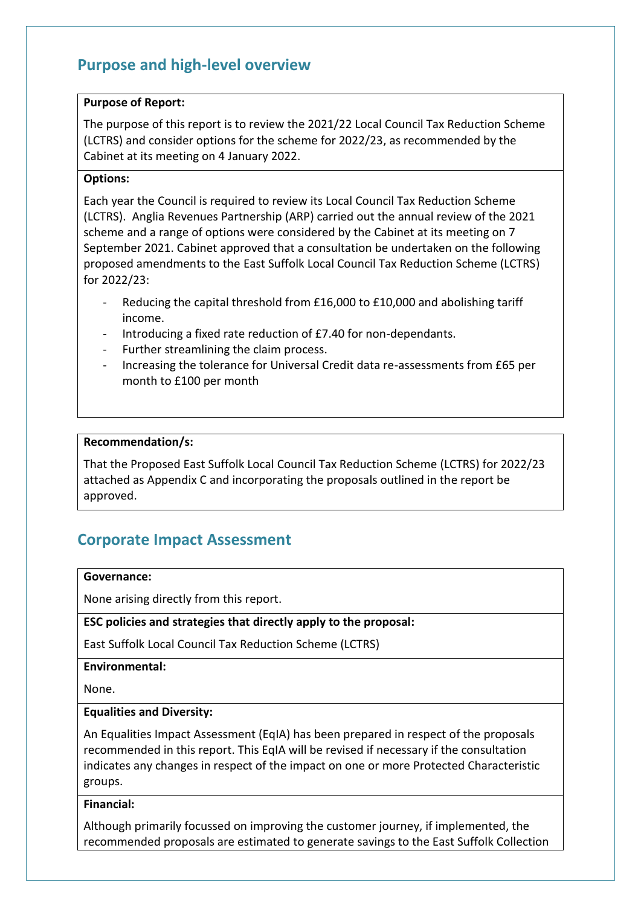### **Purpose and high-level overview**

#### **Purpose of Report:**

The purpose of this report is to review the 2021/22 Local Council Tax Reduction Scheme (LCTRS) and consider options for the scheme for 2022/23, as recommended by the Cabinet at its meeting on 4 January 2022.

#### **Options:**

Each year the Council is required to review its Local Council Tax Reduction Scheme (LCTRS). Anglia Revenues Partnership (ARP) carried out the annual review of the 2021 scheme and a range of options were considered by the Cabinet at its meeting on 7 September 2021. Cabinet approved that a consultation be undertaken on the following proposed amendments to the East Suffolk Local Council Tax Reduction Scheme (LCTRS) for 2022/23:

- Reducing the capital threshold from £16,000 to £10,000 and abolishing tariff income.
- Introducing a fixed rate reduction of £7.40 for non-dependants.
- Further streamlining the claim process.
- Increasing the tolerance for Universal Credit data re-assessments from £65 per month to £100 per month

#### **Recommendation/s:**

That the Proposed East Suffolk Local Council Tax Reduction Scheme (LCTRS) for 2022/23 attached as Appendix C and incorporating the proposals outlined in the report be approved.

### **Corporate Impact Assessment**

#### **Governance:**

None arising directly from this report.

#### **ESC policies and strategies that directly apply to the proposal:**

East Suffolk Local Council Tax Reduction Scheme (LCTRS)

#### **Environmental:**

None.

#### **Equalities and Diversity:**

An Equalities Impact Assessment (EqIA) has been prepared in respect of the proposals recommended in this report. This EqIA will be revised if necessary if the consultation indicates any changes in respect of the impact on one or more Protected Characteristic groups.

#### **Financial:**

Although primarily focussed on improving the customer journey, if implemented, the recommended proposals are estimated to generate savings to the East Suffolk Collection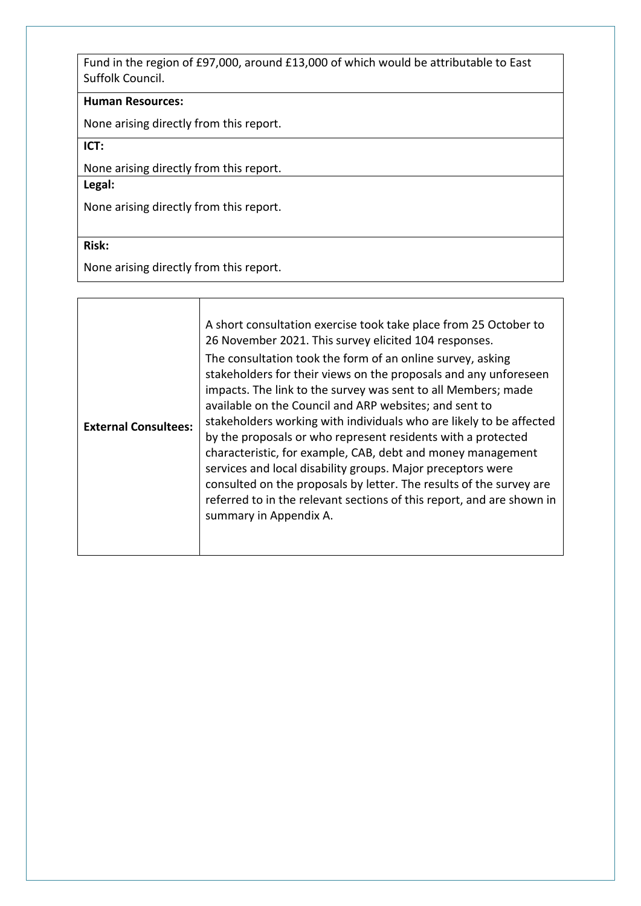Fund in the region of £97,000, around £13,000 of which would be attributable to East Suffolk Council.

#### **Human Resources:**

None arising directly from this report.

**ICT:**

None arising directly from this report.

**Legal:**

None arising directly from this report.

#### **Risk:**

None arising directly from this report.

| <b>External Consultees:</b> | A short consultation exercise took take place from 25 October to<br>26 November 2021. This survey elicited 104 responses.<br>The consultation took the form of an online survey, asking<br>stakeholders for their views on the proposals and any unforeseen<br>impacts. The link to the survey was sent to all Members; made<br>available on the Council and ARP websites; and sent to<br>stakeholders working with individuals who are likely to be affected<br>by the proposals or who represent residents with a protected<br>characteristic, for example, CAB, debt and money management<br>services and local disability groups. Major preceptors were<br>consulted on the proposals by letter. The results of the survey are |
|-----------------------------|------------------------------------------------------------------------------------------------------------------------------------------------------------------------------------------------------------------------------------------------------------------------------------------------------------------------------------------------------------------------------------------------------------------------------------------------------------------------------------------------------------------------------------------------------------------------------------------------------------------------------------------------------------------------------------------------------------------------------------|
|                             | referred to in the relevant sections of this report, and are shown in<br>summary in Appendix A.                                                                                                                                                                                                                                                                                                                                                                                                                                                                                                                                                                                                                                    |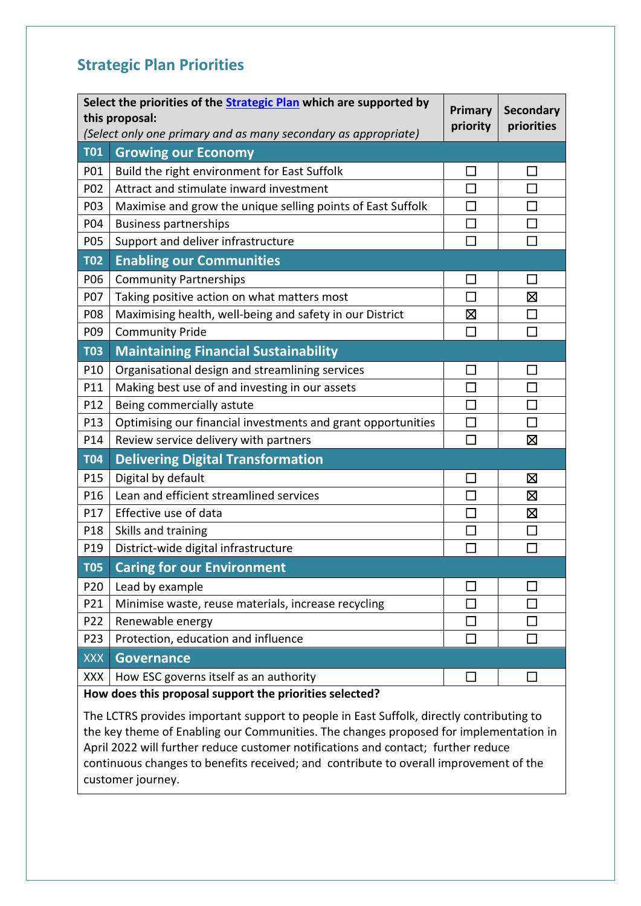### **Strategic Plan Priorities**

| Select the priorities of the <b>Strategic Plan</b> which are supported by<br>this proposal:<br>(Select only one primary and as many secondary as appropriate) |                                                              |        | <b>Secondary</b><br>priorities |
|---------------------------------------------------------------------------------------------------------------------------------------------------------------|--------------------------------------------------------------|--------|--------------------------------|
| <b>T01</b>                                                                                                                                                    | <b>Growing our Economy</b>                                   |        |                                |
| P01                                                                                                                                                           | Build the right environment for East Suffolk                 |        | H                              |
| P02                                                                                                                                                           | Attract and stimulate inward investment                      |        |                                |
| P03                                                                                                                                                           | Maximise and grow the unique selling points of East Suffolk  | П      | П                              |
| P04                                                                                                                                                           | <b>Business partnerships</b>                                 |        | $\mathcal{L}_{\mathcal{A}}$    |
| P05                                                                                                                                                           | Support and deliver infrastructure                           | T,     | П                              |
| <b>T02</b>                                                                                                                                                    | <b>Enabling our Communities</b>                              |        |                                |
| P06                                                                                                                                                           | <b>Community Partnerships</b>                                |        | П                              |
| P07                                                                                                                                                           | Taking positive action on what matters most                  | $\Box$ | 区                              |
| P08                                                                                                                                                           | Maximising health, well-being and safety in our District     | 区      | $\Box$                         |
| P09                                                                                                                                                           | <b>Community Pride</b>                                       | П      | П                              |
| <b>T03</b>                                                                                                                                                    | <b>Maintaining Financial Sustainability</b>                  |        |                                |
| P10                                                                                                                                                           | Organisational design and streamlining services              | П      | ΙI                             |
| P11                                                                                                                                                           | Making best use of and investing in our assets               | П      | П                              |
| P12                                                                                                                                                           | Being commercially astute                                    | $\Box$ | $\Box$                         |
| P <sub>13</sub>                                                                                                                                               | Optimising our financial investments and grant opportunities | $\Box$ | П                              |
| P14                                                                                                                                                           | Review service delivery with partners                        | П      | ⊠                              |
| <b>T04</b>                                                                                                                                                    | <b>Delivering Digital Transformation</b>                     |        |                                |
| P15                                                                                                                                                           | Digital by default                                           |        | 図                              |
| P16                                                                                                                                                           | Lean and efficient streamlined services                      | П      | ⊠                              |
| P17                                                                                                                                                           | Effective use of data                                        |        | 区                              |
| P18                                                                                                                                                           | Skills and training                                          |        | $\mathbf{L}$                   |
| P19                                                                                                                                                           | District-wide digital infrastructure                         | $\Box$ | П                              |
| <b>T05</b>                                                                                                                                                    | <b>Caring for our Environment</b>                            |        |                                |
| P20                                                                                                                                                           | Lead by example                                              |        | $\sim$                         |
| P21                                                                                                                                                           | Minimise waste, reuse materials, increase recycling          |        | H                              |
| P22                                                                                                                                                           | Renewable energy                                             | $\sim$ |                                |
| P <sub>23</sub>                                                                                                                                               | Protection, education and influence                          |        |                                |
| <b>XXX</b>                                                                                                                                                    | <b>Governance</b>                                            |        |                                |
| <b>XXX</b>                                                                                                                                                    | How ESC governs itself as an authority                       | $\Box$ | $\mathbf{L}$                   |
| How does this proposal support the priorities selected?                                                                                                       |                                                              |        |                                |

The LCTRS provides important support to people in East Suffolk, directly contributing to the key theme of Enabling our Communities. The changes proposed for implementation in April 2022 will further reduce customer notifications and contact; further reduce continuous changes to benefits received; and contribute to overall improvement of the customer journey.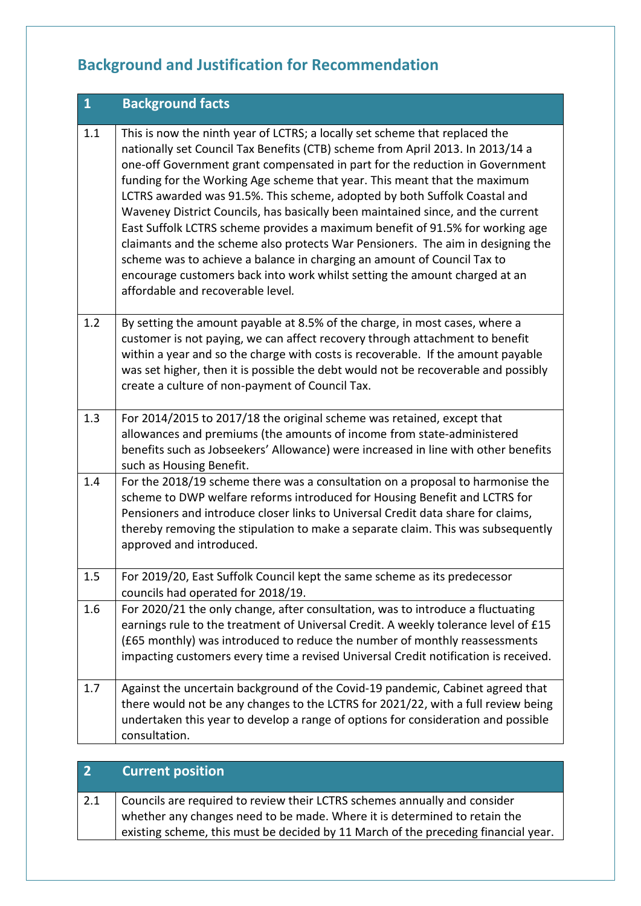## **Background and Justification for Recommendation**

| $\mathbf{1}$ | <b>Background facts</b>                                                                                                                                                                                                                                                                                                                                                                                                                                                                                                                                                                                                                                                                                                                                                                                                                                      |
|--------------|--------------------------------------------------------------------------------------------------------------------------------------------------------------------------------------------------------------------------------------------------------------------------------------------------------------------------------------------------------------------------------------------------------------------------------------------------------------------------------------------------------------------------------------------------------------------------------------------------------------------------------------------------------------------------------------------------------------------------------------------------------------------------------------------------------------------------------------------------------------|
| 1.1          | This is now the ninth year of LCTRS; a locally set scheme that replaced the<br>nationally set Council Tax Benefits (CTB) scheme from April 2013. In 2013/14 a<br>one-off Government grant compensated in part for the reduction in Government<br>funding for the Working Age scheme that year. This meant that the maximum<br>LCTRS awarded was 91.5%. This scheme, adopted by both Suffolk Coastal and<br>Waveney District Councils, has basically been maintained since, and the current<br>East Suffolk LCTRS scheme provides a maximum benefit of 91.5% for working age<br>claimants and the scheme also protects War Pensioners. The aim in designing the<br>scheme was to achieve a balance in charging an amount of Council Tax to<br>encourage customers back into work whilst setting the amount charged at an<br>affordable and recoverable level. |
| 1.2          | By setting the amount payable at 8.5% of the charge, in most cases, where a<br>customer is not paying, we can affect recovery through attachment to benefit<br>within a year and so the charge with costs is recoverable. If the amount payable<br>was set higher, then it is possible the debt would not be recoverable and possibly<br>create a culture of non-payment of Council Tax.                                                                                                                                                                                                                                                                                                                                                                                                                                                                     |
| 1.3          | For 2014/2015 to 2017/18 the original scheme was retained, except that<br>allowances and premiums (the amounts of income from state-administered<br>benefits such as Jobseekers' Allowance) were increased in line with other benefits<br>such as Housing Benefit.                                                                                                                                                                                                                                                                                                                                                                                                                                                                                                                                                                                           |
| 1.4          | For the 2018/19 scheme there was a consultation on a proposal to harmonise the<br>scheme to DWP welfare reforms introduced for Housing Benefit and LCTRS for<br>Pensioners and introduce closer links to Universal Credit data share for claims,<br>thereby removing the stipulation to make a separate claim. This was subsequently<br>approved and introduced.                                                                                                                                                                                                                                                                                                                                                                                                                                                                                             |
| 1.5          | For 2019/20, East Suffolk Council kept the same scheme as its predecessor<br>councils had operated for 2018/19.                                                                                                                                                                                                                                                                                                                                                                                                                                                                                                                                                                                                                                                                                                                                              |
| 1.6          | For 2020/21 the only change, after consultation, was to introduce a fluctuating<br>earnings rule to the treatment of Universal Credit. A weekly tolerance level of £15<br>(£65 monthly) was introduced to reduce the number of monthly reassessments<br>impacting customers every time a revised Universal Credit notification is received.                                                                                                                                                                                                                                                                                                                                                                                                                                                                                                                  |
| 1.7          | Against the uncertain background of the Covid-19 pandemic, Cabinet agreed that<br>there would not be any changes to the LCTRS for 2021/22, with a full review being<br>undertaken this year to develop a range of options for consideration and possible<br>consultation.                                                                                                                                                                                                                                                                                                                                                                                                                                                                                                                                                                                    |

### **2 Current position**

2.1 Councils are required to review their LCTRS schemes annually and consider whether any changes need to be made. Where it is determined to retain the existing scheme, this must be decided by 11 March of the preceding financial year.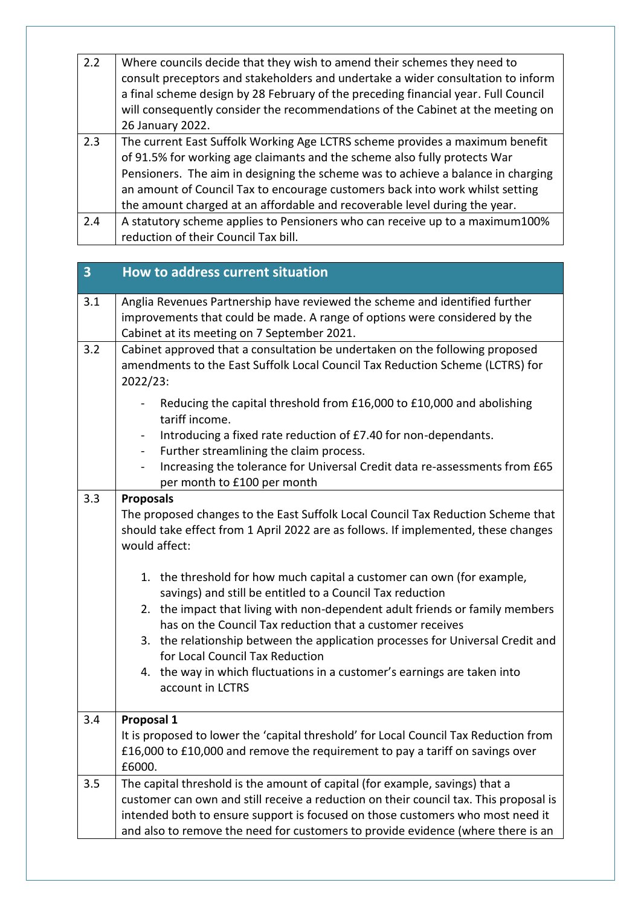| 2.2 | Where councils decide that they wish to amend their schemes they need to<br>consult preceptors and stakeholders and undertake a wider consultation to inform<br>a final scheme design by 28 February of the preceding financial year. Full Council |
|-----|----------------------------------------------------------------------------------------------------------------------------------------------------------------------------------------------------------------------------------------------------|
|     | will consequently consider the recommendations of the Cabinet at the meeting on                                                                                                                                                                    |
|     | 26 January 2022.                                                                                                                                                                                                                                   |
| 2.3 | The current East Suffolk Working Age LCTRS scheme provides a maximum benefit                                                                                                                                                                       |
|     | of 91.5% for working age claimants and the scheme also fully protects War                                                                                                                                                                          |
|     | Pensioners. The aim in designing the scheme was to achieve a balance in charging                                                                                                                                                                   |
|     | an amount of Council Tax to encourage customers back into work whilst setting                                                                                                                                                                      |
|     | the amount charged at an affordable and recoverable level during the year.                                                                                                                                                                         |
| 2.4 | A statutory scheme applies to Pensioners who can receive up to a maximum100%                                                                                                                                                                       |
|     | reduction of their Council Tax bill.                                                                                                                                                                                                               |

| 3   | How to address current situation                                                                                                                                                                                                                                                                                                                                                                                                                                                                                                                                                                                                                                                                                        |
|-----|-------------------------------------------------------------------------------------------------------------------------------------------------------------------------------------------------------------------------------------------------------------------------------------------------------------------------------------------------------------------------------------------------------------------------------------------------------------------------------------------------------------------------------------------------------------------------------------------------------------------------------------------------------------------------------------------------------------------------|
| 3.1 | Anglia Revenues Partnership have reviewed the scheme and identified further<br>improvements that could be made. A range of options were considered by the<br>Cabinet at its meeting on 7 September 2021.                                                                                                                                                                                                                                                                                                                                                                                                                                                                                                                |
| 3.2 | Cabinet approved that a consultation be undertaken on the following proposed<br>amendments to the East Suffolk Local Council Tax Reduction Scheme (LCTRS) for<br>2022/23:                                                                                                                                                                                                                                                                                                                                                                                                                                                                                                                                               |
|     | Reducing the capital threshold from £16,000 to £10,000 and abolishing<br>tariff income.                                                                                                                                                                                                                                                                                                                                                                                                                                                                                                                                                                                                                                 |
|     | Introducing a fixed rate reduction of £7.40 for non-dependants.<br>$\overline{\phantom{a}}$<br>Further streamlining the claim process.<br>$\blacksquare$                                                                                                                                                                                                                                                                                                                                                                                                                                                                                                                                                                |
|     | Increasing the tolerance for Universal Credit data re-assessments from £65<br>per month to £100 per month                                                                                                                                                                                                                                                                                                                                                                                                                                                                                                                                                                                                               |
| 3.3 | <b>Proposals</b><br>The proposed changes to the East Suffolk Local Council Tax Reduction Scheme that<br>should take effect from 1 April 2022 are as follows. If implemented, these changes<br>would affect:<br>1. the threshold for how much capital a customer can own (for example,<br>savings) and still be entitled to a Council Tax reduction<br>the impact that living with non-dependent adult friends or family members<br>2.<br>has on the Council Tax reduction that a customer receives<br>3. the relationship between the application processes for Universal Credit and<br>for Local Council Tax Reduction<br>4. the way in which fluctuations in a customer's earnings are taken into<br>account in LCTRS |
| 3.4 | Proposal 1<br>It is proposed to lower the 'capital threshold' for Local Council Tax Reduction from<br>£16,000 to £10,000 and remove the requirement to pay a tariff on savings over<br>£6000.                                                                                                                                                                                                                                                                                                                                                                                                                                                                                                                           |
| 3.5 | The capital threshold is the amount of capital (for example, savings) that a<br>customer can own and still receive a reduction on their council tax. This proposal is<br>intended both to ensure support is focused on those customers who most need it<br>and also to remove the need for customers to provide evidence (where there is an                                                                                                                                                                                                                                                                                                                                                                             |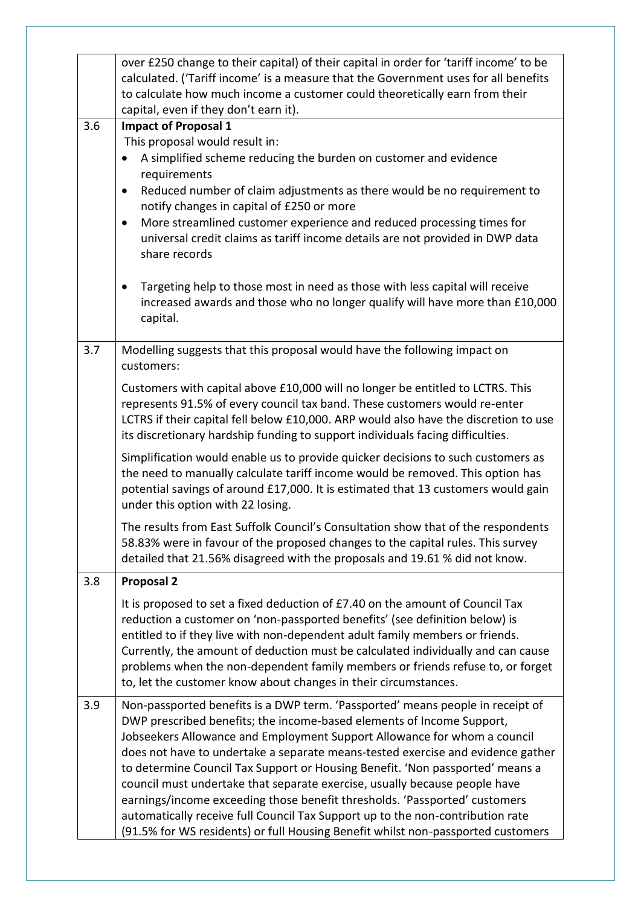|     | over £250 change to their capital) of their capital in order for 'tariff income' to be<br>calculated. ('Tariff income' is a measure that the Government uses for all benefits<br>to calculate how much income a customer could theoretically earn from their<br>capital, even if they don't earn it).                                                                                                                                                                                                                                                                                                                                                                                                                                     |
|-----|-------------------------------------------------------------------------------------------------------------------------------------------------------------------------------------------------------------------------------------------------------------------------------------------------------------------------------------------------------------------------------------------------------------------------------------------------------------------------------------------------------------------------------------------------------------------------------------------------------------------------------------------------------------------------------------------------------------------------------------------|
| 3.6 | <b>Impact of Proposal 1</b><br>This proposal would result in:<br>A simplified scheme reducing the burden on customer and evidence<br>requirements<br>Reduced number of claim adjustments as there would be no requirement to<br>$\bullet$<br>notify changes in capital of £250 or more<br>More streamlined customer experience and reduced processing times for<br>$\bullet$<br>universal credit claims as tariff income details are not provided in DWP data<br>share records                                                                                                                                                                                                                                                            |
|     | Targeting help to those most in need as those with less capital will receive<br>increased awards and those who no longer qualify will have more than £10,000<br>capital.                                                                                                                                                                                                                                                                                                                                                                                                                                                                                                                                                                  |
| 3.7 | Modelling suggests that this proposal would have the following impact on<br>customers:                                                                                                                                                                                                                                                                                                                                                                                                                                                                                                                                                                                                                                                    |
|     | Customers with capital above £10,000 will no longer be entitled to LCTRS. This<br>represents 91.5% of every council tax band. These customers would re-enter<br>LCTRS if their capital fell below £10,000. ARP would also have the discretion to use<br>its discretionary hardship funding to support individuals facing difficulties.                                                                                                                                                                                                                                                                                                                                                                                                    |
|     | Simplification would enable us to provide quicker decisions to such customers as<br>the need to manually calculate tariff income would be removed. This option has<br>potential savings of around £17,000. It is estimated that 13 customers would gain<br>under this option with 22 losing.                                                                                                                                                                                                                                                                                                                                                                                                                                              |
|     | The results from East Suffolk Council's Consultation show that of the respondents<br>58.83% were in favour of the proposed changes to the capital rules. This survey<br>detailed that 21.56% disagreed with the proposals and 19.61 % did not know.                                                                                                                                                                                                                                                                                                                                                                                                                                                                                       |
| 3.8 | <b>Proposal 2</b>                                                                                                                                                                                                                                                                                                                                                                                                                                                                                                                                                                                                                                                                                                                         |
|     | It is proposed to set a fixed deduction of £7.40 on the amount of Council Tax<br>reduction a customer on 'non-passported benefits' (see definition below) is<br>entitled to if they live with non-dependent adult family members or friends.<br>Currently, the amount of deduction must be calculated individually and can cause<br>problems when the non-dependent family members or friends refuse to, or forget<br>to, let the customer know about changes in their circumstances.                                                                                                                                                                                                                                                     |
| 3.9 | Non-passported benefits is a DWP term. 'Passported' means people in receipt of<br>DWP prescribed benefits; the income-based elements of Income Support,<br>Jobseekers Allowance and Employment Support Allowance for whom a council<br>does not have to undertake a separate means-tested exercise and evidence gather<br>to determine Council Tax Support or Housing Benefit. 'Non passported' means a<br>council must undertake that separate exercise, usually because people have<br>earnings/income exceeding those benefit thresholds. 'Passported' customers<br>automatically receive full Council Tax Support up to the non-contribution rate<br>(91.5% for WS residents) or full Housing Benefit whilst non-passported customers |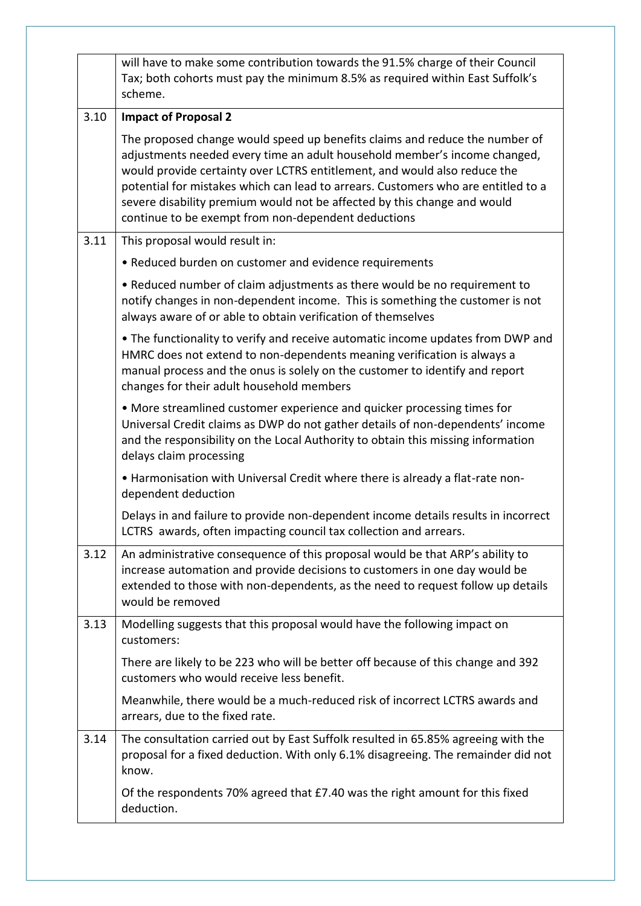|      | will have to make some contribution towards the 91.5% charge of their Council<br>Tax; both cohorts must pay the minimum 8.5% as required within East Suffolk's<br>scheme.                                                                                                                                                                                                                                                                                     |
|------|---------------------------------------------------------------------------------------------------------------------------------------------------------------------------------------------------------------------------------------------------------------------------------------------------------------------------------------------------------------------------------------------------------------------------------------------------------------|
| 3.10 | <b>Impact of Proposal 2</b>                                                                                                                                                                                                                                                                                                                                                                                                                                   |
|      | The proposed change would speed up benefits claims and reduce the number of<br>adjustments needed every time an adult household member's income changed,<br>would provide certainty over LCTRS entitlement, and would also reduce the<br>potential for mistakes which can lead to arrears. Customers who are entitled to a<br>severe disability premium would not be affected by this change and would<br>continue to be exempt from non-dependent deductions |
| 3.11 | This proposal would result in:                                                                                                                                                                                                                                                                                                                                                                                                                                |
|      | • Reduced burden on customer and evidence requirements                                                                                                                                                                                                                                                                                                                                                                                                        |
|      | • Reduced number of claim adjustments as there would be no requirement to<br>notify changes in non-dependent income. This is something the customer is not<br>always aware of or able to obtain verification of themselves                                                                                                                                                                                                                                    |
|      | . The functionality to verify and receive automatic income updates from DWP and<br>HMRC does not extend to non-dependents meaning verification is always a<br>manual process and the onus is solely on the customer to identify and report<br>changes for their adult household members                                                                                                                                                                       |
|      | • More streamlined customer experience and quicker processing times for<br>Universal Credit claims as DWP do not gather details of non-dependents' income<br>and the responsibility on the Local Authority to obtain this missing information<br>delays claim processing                                                                                                                                                                                      |
|      | • Harmonisation with Universal Credit where there is already a flat-rate non-<br>dependent deduction                                                                                                                                                                                                                                                                                                                                                          |
|      | Delays in and failure to provide non-dependent income details results in incorrect<br>LCTRS awards, often impacting council tax collection and arrears.                                                                                                                                                                                                                                                                                                       |
| 3.12 | An administrative consequence of this proposal would be that ARP's ability to<br>increase automation and provide decisions to customers in one day would be<br>extended to those with non-dependents, as the need to request follow up details<br>would be removed                                                                                                                                                                                            |
| 3.13 | Modelling suggests that this proposal would have the following impact on<br>customers:                                                                                                                                                                                                                                                                                                                                                                        |
|      | There are likely to be 223 who will be better off because of this change and 392<br>customers who would receive less benefit.                                                                                                                                                                                                                                                                                                                                 |
|      | Meanwhile, there would be a much-reduced risk of incorrect LCTRS awards and<br>arrears, due to the fixed rate.                                                                                                                                                                                                                                                                                                                                                |
| 3.14 | The consultation carried out by East Suffolk resulted in 65.85% agreeing with the<br>proposal for a fixed deduction. With only 6.1% disagreeing. The remainder did not<br>know.                                                                                                                                                                                                                                                                               |
|      | Of the respondents 70% agreed that £7.40 was the right amount for this fixed<br>deduction.                                                                                                                                                                                                                                                                                                                                                                    |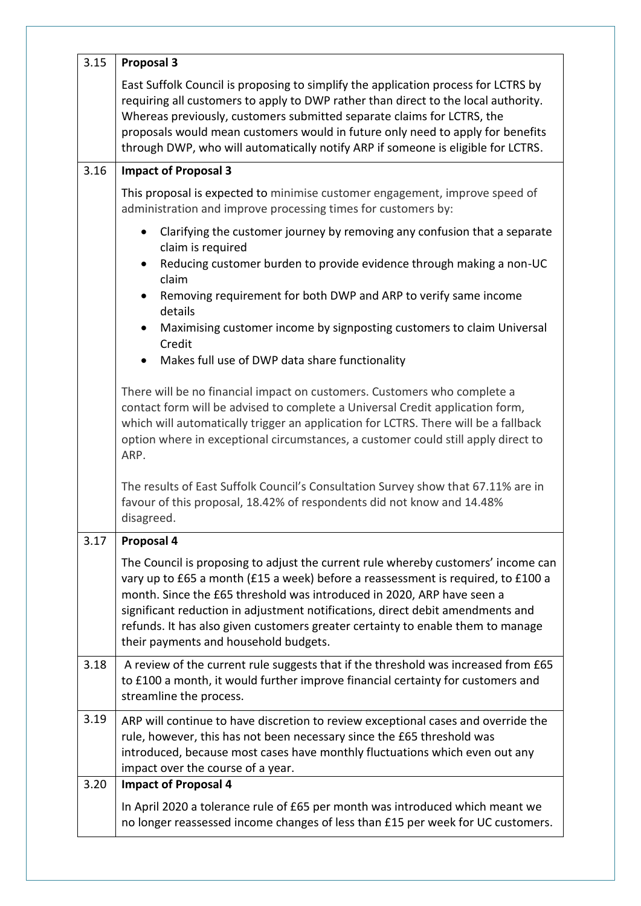| 3.15 | <b>Proposal 3</b>                                                                                                                                                                                                                                                                                                                                                                                                                                             |
|------|---------------------------------------------------------------------------------------------------------------------------------------------------------------------------------------------------------------------------------------------------------------------------------------------------------------------------------------------------------------------------------------------------------------------------------------------------------------|
|      | East Suffolk Council is proposing to simplify the application process for LCTRS by<br>requiring all customers to apply to DWP rather than direct to the local authority.<br>Whereas previously, customers submitted separate claims for LCTRS, the<br>proposals would mean customers would in future only need to apply for benefits<br>through DWP, who will automatically notify ARP if someone is eligible for LCTRS.                                      |
| 3.16 | <b>Impact of Proposal 3</b>                                                                                                                                                                                                                                                                                                                                                                                                                                   |
|      | This proposal is expected to minimise customer engagement, improve speed of<br>administration and improve processing times for customers by:                                                                                                                                                                                                                                                                                                                  |
|      | Clarifying the customer journey by removing any confusion that a separate<br>$\bullet$<br>claim is required                                                                                                                                                                                                                                                                                                                                                   |
|      | Reducing customer burden to provide evidence through making a non-UC<br>$\bullet$<br>claim                                                                                                                                                                                                                                                                                                                                                                    |
|      | Removing requirement for both DWP and ARP to verify same income<br>$\bullet$<br>details                                                                                                                                                                                                                                                                                                                                                                       |
|      | Maximising customer income by signposting customers to claim Universal<br>$\bullet$<br>Credit                                                                                                                                                                                                                                                                                                                                                                 |
|      | Makes full use of DWP data share functionality<br>$\bullet$                                                                                                                                                                                                                                                                                                                                                                                                   |
|      | There will be no financial impact on customers. Customers who complete a<br>contact form will be advised to complete a Universal Credit application form,<br>which will automatically trigger an application for LCTRS. There will be a fallback<br>option where in exceptional circumstances, a customer could still apply direct to<br>ARP.                                                                                                                 |
|      | The results of East Suffolk Council's Consultation Survey show that 67.11% are in<br>favour of this proposal, 18.42% of respondents did not know and 14.48%<br>disagreed.                                                                                                                                                                                                                                                                                     |
| 3.17 | Proposal 4                                                                                                                                                                                                                                                                                                                                                                                                                                                    |
|      | The Council is proposing to adjust the current rule whereby customers' income can<br>vary up to £65 a month (£15 a week) before a reassessment is required, to £100 a<br>month. Since the £65 threshold was introduced in 2020, ARP have seen a<br>significant reduction in adjustment notifications, direct debit amendments and<br>refunds. It has also given customers greater certainty to enable them to manage<br>their payments and household budgets. |
| 3.18 | A review of the current rule suggests that if the threshold was increased from £65<br>to £100 a month, it would further improve financial certainty for customers and<br>streamline the process.                                                                                                                                                                                                                                                              |
| 3.19 | ARP will continue to have discretion to review exceptional cases and override the<br>rule, however, this has not been necessary since the £65 threshold was<br>introduced, because most cases have monthly fluctuations which even out any<br>impact over the course of a year.                                                                                                                                                                               |
| 3.20 | <b>Impact of Proposal 4</b>                                                                                                                                                                                                                                                                                                                                                                                                                                   |
|      | In April 2020 a tolerance rule of £65 per month was introduced which meant we<br>no longer reassessed income changes of less than £15 per week for UC customers.                                                                                                                                                                                                                                                                                              |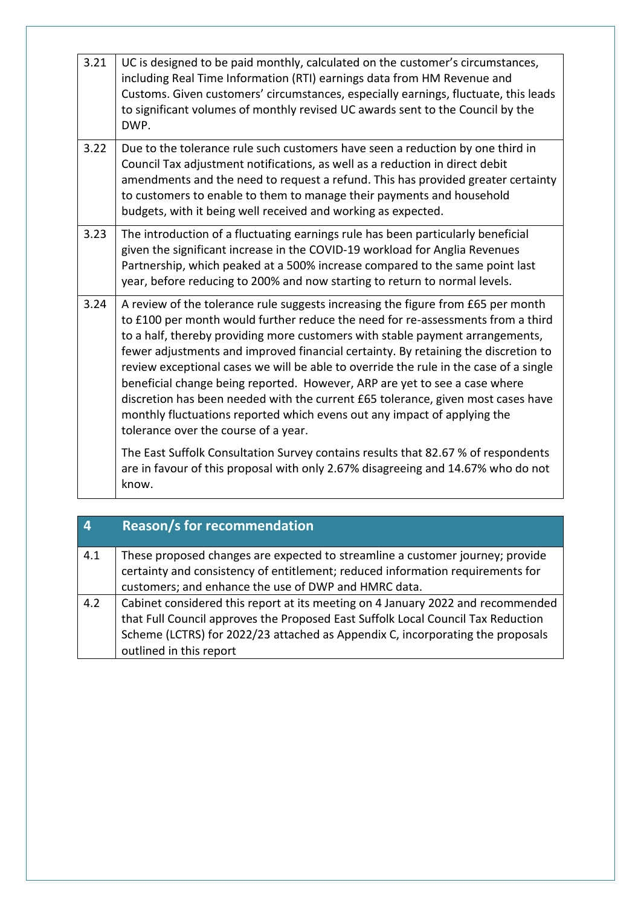| 3.21 | UC is designed to be paid monthly, calculated on the customer's circumstances,<br>including Real Time Information (RTI) earnings data from HM Revenue and<br>Customs. Given customers' circumstances, especially earnings, fluctuate, this leads<br>to significant volumes of monthly revised UC awards sent to the Council by the<br>DWP.                                                                                                                                                                                                                                                                                                                                                                                |
|------|---------------------------------------------------------------------------------------------------------------------------------------------------------------------------------------------------------------------------------------------------------------------------------------------------------------------------------------------------------------------------------------------------------------------------------------------------------------------------------------------------------------------------------------------------------------------------------------------------------------------------------------------------------------------------------------------------------------------------|
| 3.22 | Due to the tolerance rule such customers have seen a reduction by one third in<br>Council Tax adjustment notifications, as well as a reduction in direct debit<br>amendments and the need to request a refund. This has provided greater certainty<br>to customers to enable to them to manage their payments and household<br>budgets, with it being well received and working as expected.                                                                                                                                                                                                                                                                                                                              |
| 3.23 | The introduction of a fluctuating earnings rule has been particularly beneficial<br>given the significant increase in the COVID-19 workload for Anglia Revenues<br>Partnership, which peaked at a 500% increase compared to the same point last<br>year, before reducing to 200% and now starting to return to normal levels.                                                                                                                                                                                                                                                                                                                                                                                             |
| 3.24 | A review of the tolerance rule suggests increasing the figure from £65 per month<br>to £100 per month would further reduce the need for re-assessments from a third<br>to a half, thereby providing more customers with stable payment arrangements,<br>fewer adjustments and improved financial certainty. By retaining the discretion to<br>review exceptional cases we will be able to override the rule in the case of a single<br>beneficial change being reported. However, ARP are yet to see a case where<br>discretion has been needed with the current £65 tolerance, given most cases have<br>monthly fluctuations reported which evens out any impact of applying the<br>tolerance over the course of a year. |
|      | The East Suffolk Consultation Survey contains results that 82.67 % of respondents<br>are in favour of this proposal with only 2.67% disagreeing and 14.67% who do not<br>know.                                                                                                                                                                                                                                                                                                                                                                                                                                                                                                                                            |

|     | <b>Reason/s for recommendation</b>                                                                                                                              |
|-----|-----------------------------------------------------------------------------------------------------------------------------------------------------------------|
| 4.1 | These proposed changes are expected to streamline a customer journey; provide<br>certainty and consistency of entitlement; reduced information requirements for |
|     | customers; and enhance the use of DWP and HMRC data.                                                                                                            |
| 4.2 | Cabinet considered this report at its meeting on 4 January 2022 and recommended                                                                                 |
|     | that Full Council approves the Proposed East Suffolk Local Council Tax Reduction                                                                                |
|     | Scheme (LCTRS) for 2022/23 attached as Appendix C, incorporating the proposals                                                                                  |
|     | outlined in this report                                                                                                                                         |